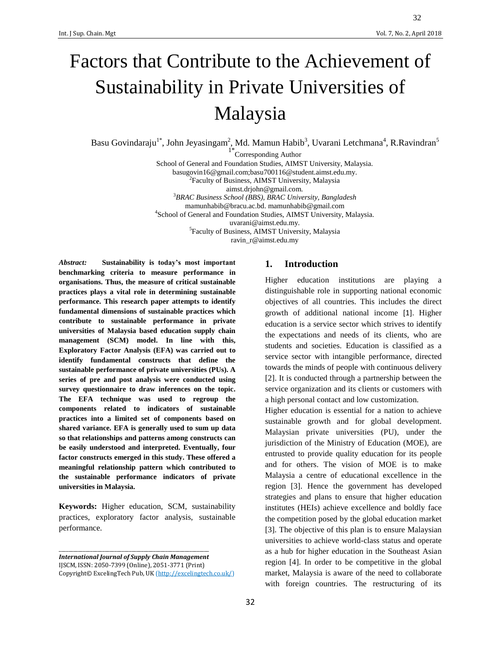# Factors that Contribute to the Achievement of Sustainability in Private Universities of Malaysia

Basu Govindaraju<sup>1\*</sup>, John Jeyasingam<sup>2</sup>, Md. Mamun Habib<sup>3</sup>, Uvarani Letchmana<sup>4</sup>, R.Ravindran<sup>5</sup>

<sup>1\*</sup>Corresponding Author School of General and Foundation Studies, AIMST University, Malaysia. basugovin16@gmail.com;basu700116@student.aimst.edu.my. <sup>2</sup>Faculty of Business, AIMST University, Malaysia

aimst.drjohn@gmail.com.

<sup>3</sup>*BRAC Business School (BBS), BRAC University, Bangladesh* [mamunhabib@bracu.ac.bd.](mailto:mamunhabib@bracu.ac.bd) mamunhabib@gmail.com 4 School of General and Foundation Studies, AIMST University, Malaysia. uvarani@aimst.edu.my. 5 Faculty of Business, AIMST University, Malaysia

ravin\_r@aimst.edu.my

*Abstract:* **Sustainability is today's most important benchmarking criteria to measure performance in organisations. Thus, the measure of critical sustainable practices plays a vital role in determining sustainable performance. This research paper attempts to identify fundamental dimensions of sustainable practices which contribute to sustainable performance in private universities of Malaysia based education supply chain management (SCM) model. In line with this, Exploratory Factor Analysis (EFA) was carried out to identify fundamental constructs that define the sustainable performance of private universities (PUs). A series of pre and post analysis were conducted using survey questionnaire to draw inferences on the topic. The EFA technique was used to regroup the components related to indicators of sustainable practices into a limited set of components based on shared variance. EFA is generally used to sum up data so that relationships and patterns among constructs can be easily understood and interpreted. Eventually, four factor constructs emerged in this study. These offered a meaningful relationship pattern which contributed to the sustainable performance indicators of private universities in Malaysia.** 

**Keywords:** Higher education, SCM, sustainability practices, exploratory factor analysis, sustainable performance.

\_\_\_\_\_\_\_\_\_\_\_\_\_\_\_\_\_\_\_\_\_\_\_\_\_\_\_\_\_\_\_\_\_\_\_\_\_\_\_\_\_\_\_\_\_\_\_\_\_\_\_\_\_\_\_\_\_\_\_\_\_\_

# **1. Introduction**

Higher education institutions are playing a distinguishable role in supporting national economic objectives of all countries. This includes the direct growth of additional national income [1]. Higher education is a service sector which strives to identify the expectations and needs of its clients, who are students and societies. Education is classified as a service sector with intangible performance, directed towards the minds of people with continuous delivery [2]. It is conducted through a partnership between the service organization and its clients or customers with a high personal contact and low customization.

Higher education is essential for a nation to achieve sustainable growth and for global development. Malaysian private universities (PU), under the jurisdiction of the Ministry of Education (MOE), are entrusted to provide quality education for its people and for others. The vision of MOE is to make Malaysia a centre of educational excellence in the region [3]. Hence the government has developed strategies and plans to ensure that higher education institutes (HEIs) achieve excellence and boldly face the competition posed by the global education market [3]. The objective of this plan is to ensure Malaysian universities to achieve world-class status and operate as a hub for higher education in the Southeast Asian region [4]. In order to be competitive in the global market, Malaysia is aware of the need to collaborate with foreign countries. The restructuring of its

*International Journal of Supply Chain Management* IJSCM, ISSN: 2050-7399 (Online), 2051-3771 (Print) Copyright© ExcelingTech Pub, UK [\(http://excelingtech.co.uk/\)](http://excelingtech.co.uk/)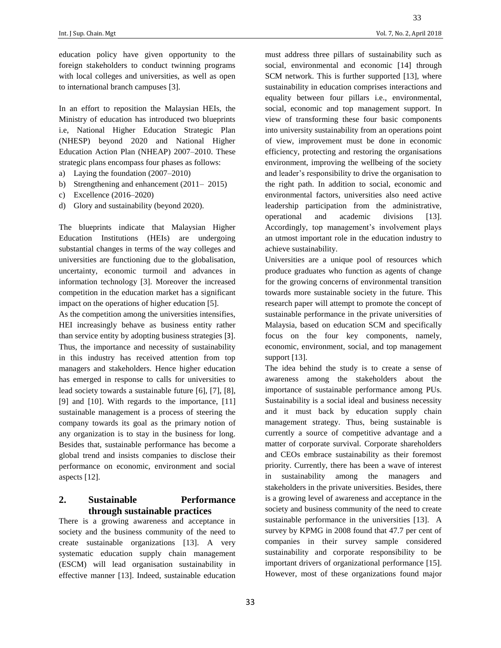education policy have given opportunity to the foreign stakeholders to conduct twinning programs with local colleges and universities, as well as open to international branch campuses [3].

In an effort to reposition the Malaysian HEIs, the Ministry of education has introduced two blueprints i.e, National Higher Education Strategic Plan (NHESP) beyond 2020 and National Higher Education Action Plan (NHEAP) 2007–2010. These strategic plans encompass four phases as follows:

- a) Laying the foundation (2007–2010)
- b) Strengthening and enhancement (2011– 2015)
- c) Excellence (2016–2020)
- d) Glory and sustainability (beyond 2020).

The blueprints indicate that Malaysian Higher Education Institutions (HEIs) are undergoing substantial changes in terms of the way colleges and universities are functioning due to the globalisation, uncertainty, economic turmoil and advances in information technology [3]. Moreover the increased competition in the education market has a significant impact on the operations of higher education [5].

As the competition among the universities intensifies, HEI increasingly behave as business entity rather than service entity by adopting business strategies [3]. Thus, the importance and necessity of sustainability in this industry has received attention from top managers and stakeholders. Hence higher education has emerged in response to calls for universities to lead society towards a sustainable future [6], [7], [8], [9] and [10]. With regards to the importance, [11] sustainable management is a process of steering the company towards its goal as the primary notion of any organization is to stay in the business for long. Besides that, sustainable performance has become a global trend and insists companies to disclose their performance on economic, environment and social aspects [12].

# **2. Sustainable Performance through sustainable practices**

There is a growing awareness and acceptance in society and the business community of the need to create sustainable organizations [13]. A very systematic education supply chain management (ESCM) will lead organisation sustainability in effective manner [13]. Indeed, sustainable education must address three pillars of sustainability such as social, environmental and economic [14] through SCM network. This is further supported [13], where sustainability in education comprises interactions and equality between four pillars i.e., environmental, social, economic and top management support. In view of transforming these four basic components into university sustainability from an operations point of view, improvement must be done in economic efficiency, protecting and restoring the organisations environment, improving the wellbeing of the society and leader's responsibility to drive the organisation to the right path. In addition to social, economic and environmental factors, universities also need active leadership participation from the administrative, operational and academic divisions [13]. Accordingly, top management's involvement plays an utmost important role in the education industry to achieve sustainability.

Universities are a unique pool of resources which produce graduates who function as agents of change for the growing concerns of environmental transition towards more sustainable society in the future. This research paper will attempt to promote the concept of sustainable performance in the private universities of Malaysia, based on education SCM and specifically focus on the four key components, namely, economic, environment, social, and top management support [13].

The idea behind the study is to create a sense of awareness among the stakeholders about the importance of sustainable performance among PUs. Sustainability is a social ideal and business necessity and it must back by education supply chain management strategy. Thus, being sustainable is currently a source of competitive advantage and a matter of corporate survival. Corporate shareholders and CEOs embrace sustainability as their foremost priority. Currently, there has been a wave of interest in sustainability among the managers and stakeholders in the private universities. Besides, there is a growing level of awareness and acceptance in the society and business community of the need to create sustainable performance in the universities [13]. A survey by KPMG in 2008 found that 47.7 per cent of companies in their survey sample considered sustainability and corporate responsibility to be important drivers of organizational performance [15]. However, most of these organizations found major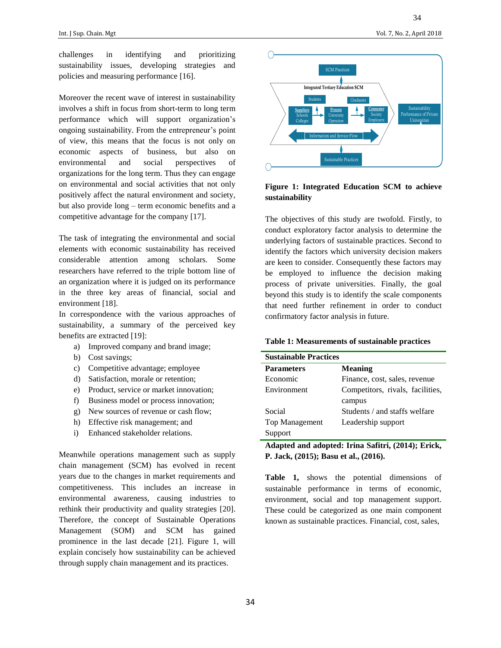challenges in identifying and prioritizing sustainability issues, developing strategies and policies and measuring performance [16].

Moreover the recent wave of interest in sustainability involves a shift in focus from short-term to long term performance which will support organization's ongoing sustainability. From the entrepreneur's point of view, this means that the focus is not only on economic aspects of business, but also on environmental and social perspectives of organizations for the long term. Thus they can engage on environmental and social activities that not only positively affect the natural environment and society, but also provide long – term economic benefits and a competitive advantage for the company [17].

The task of integrating the environmental and social elements with economic sustainability has received considerable attention among scholars. Some researchers have referred to the triple bottom line of an organization where it is judged on its performance in the three key areas of financial, social and environment [18].

In correspondence with the various approaches of sustainability, a summary of the perceived key benefits are extracted [19]:

- a) Improved company and brand image;
- b) Cost savings;
- c) Competitive advantage; employee
- d) Satisfaction, morale or retention;
- e) Product, service or market innovation;
- f) Business model or process innovation;
- g) New sources of revenue or cash flow;
- h) Effective risk management; and
- i) Enhanced stakeholder relations.

Meanwhile operations management such as supply chain management (SCM) has evolved in recent years due to the changes in market requirements and competitiveness. This includes an increase in environmental awareness, causing industries to rethink their productivity and quality strategies [20]. Therefore, the concept of Sustainable Operations Management (SOM) and SCM has gained prominence in the last decade [21]. Figure 1, will explain concisely how sustainability can be achieved through supply chain management and its practices.



# **Figure 1: Integrated Education SCM to achieve sustainability**

The objectives of this study are twofold. Firstly, to conduct exploratory factor analysis to determine the underlying factors of sustainable practices. Second to identify the factors which university decision makers are keen to consider. Consequently these factors may be employed to influence the decision making process of private universities. Finally, the goal beyond this study is to identify the scale components that need further refinement in order to conduct confirmatory factor analysis in future.

## **Table 1: Measurements of sustainable practices**

| <b>Sustainable Practices</b> |                                  |  |  |
|------------------------------|----------------------------------|--|--|
| <b>Parameters</b>            | <b>Meaning</b>                   |  |  |
| Economic                     | Finance, cost, sales, revenue    |  |  |
| Environment                  | Competitors, rivals, facilities, |  |  |
|                              | campus                           |  |  |
| Social                       | Students / and staffs welfare    |  |  |
| Top Management               | Leadership support               |  |  |
| Support                      |                                  |  |  |

**Adapted and adopted: Irina Safitri, (2014); Erick, P. Jack, (2015); Basu et al., (2016).**

**Table 1,** shows the potential dimensions of sustainable performance in terms of economic, environment, social and top management support. These could be categorized as one main component known as sustainable practices. Financial, cost, sales,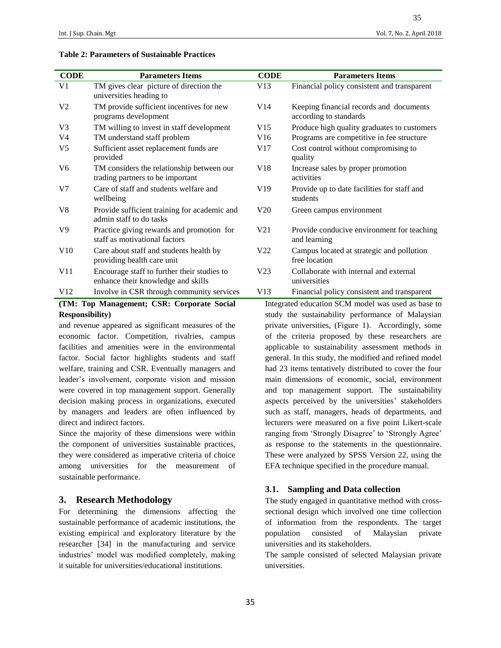## **Table 2: Parameters of Sustainable Practices**

| <b>CODE</b>     | <b>Parameters Items</b>                                                           | <b>CODE</b>     | <b>Parameters Items</b>                                           |
|-----------------|-----------------------------------------------------------------------------------|-----------------|-------------------------------------------------------------------|
| V <sub>1</sub>  | TM gives clear picture of direction the<br>universities heading to                | V13             | Financial policy consistent and transparent                       |
| V <sub>2</sub>  | TM provide sufficient incentives for new<br>programs development                  | V14             | Keeping financial records and documents<br>according to standards |
| V <sub>3</sub>  | TM willing to invest in staff development                                         | V15             | Produce high quality graduates to customers                       |
| V4              | TM understand staff problem                                                       | V16             | Programs are competitive in fee structure                         |
| V5              | Sufficient asset replacement funds are<br>provided                                | V17             | Cost control without compromising to<br>quality                   |
| V6              | TM considers the relationship between our<br>trading partners to be important     | V18             | Increase sales by proper promotion<br>activities                  |
| V <sub>7</sub>  | Care of staff and students welfare and<br>wellbeing                               | V <sub>19</sub> | Provide up to date facilities for staff and<br>students           |
| V8              | Provide sufficient training for academic and<br>admin staff to do tasks           | V20             | Green campus environment                                          |
| V9              | Practice giving rewards and promotion for<br>staff as motivational factors        | V21             | Provide conducive environment for teaching<br>and learning        |
| V10             | Care about staff and students health by<br>providing health care unit             | V <sub>22</sub> | Campus located at strategic and pollution<br>free location        |
| V <sub>11</sub> | Encourage staff to further their studies to<br>enhance their knowledge and skills | V <sub>23</sub> | Collaborate with internal and external<br>universities            |
| V12             | Involve in CSR through community services                                         | V13             | Financial policy consistent and transparent                       |
|                 | (TM, Top Monogoment, CCD, Compute Social                                          |                 | Integrated education CCM model was used as hese to                |

# **(TM: Top Management; CSR: Corporate Social Responsibility)**

and revenue appeared as significant measures of the economic factor. Competition, rivalries, campus facilities and amenities were in the environmental factor. Social factor highlights students and staff welfare, training and CSR. Eventually managers and leader's involvement, corporate vision and mission were covered in top management support. Generally decision making process in organizations, executed by managers and leaders are often influenced by direct and indirect factors.

Since the majority of these dimensions were within the component of universities sustainable practices, they were considered as imperative criteria of choice among universities for the measurement of sustainable performance.

# **3. Research Methodology**

For determining the dimensions affecting the sustainable performance of academic institutions, the existing empirical and exploratory literature by the researcher [34] in the manufacturing and service industries' model was modified completely, making it suitable for universities/educational institutions.

35

|                                                     | yuanty                                                     |  |  |
|-----------------------------------------------------|------------------------------------------------------------|--|--|
| 18                                                  | Increase sales by proper promotion<br>activities           |  |  |
| 19                                                  | Provide up to date facilities for staff and<br>students    |  |  |
| 20                                                  | Green campus environment                                   |  |  |
| 21                                                  | Provide conducive environment for teaching<br>and learning |  |  |
| 22                                                  | Campus located at strategic and pollution<br>free location |  |  |
| 23                                                  | Collaborate with internal and external<br>universities     |  |  |
| 13                                                  | Financial policy consistent and transparent                |  |  |
|                                                     | Integrated education SCM model was used as base to         |  |  |
|                                                     | study the sustainability performance of Malaysian          |  |  |
|                                                     | private universities, (Figure 1). Accordingly, some        |  |  |
|                                                     | of the criteria proposed by these researchers are          |  |  |
|                                                     | applicable to sustainability assessment methods in         |  |  |
|                                                     | general. In this study, the modified and refined model     |  |  |
|                                                     | had 23 items tentatively distributed to cover the four     |  |  |
|                                                     | main dimensions of economic, social, environment           |  |  |
| and top management support. The sustainability      |                                                            |  |  |
| aspects perceived by the universities' stakeholders |                                                            |  |  |
|                                                     | such as staff, managers, heads of departments, and         |  |  |
|                                                     | lecturers were measured on a five point Likert-scale       |  |  |
|                                                     | ranging from 'Strongly Disagree' to 'Strongly Agree'       |  |  |
|                                                     | as response to the statements in the questionnaire.        |  |  |
|                                                     | These were analyzed by SPSS Version 22, using the          |  |  |

#### **3.1. Sampling and Data collection**

The study engaged in quantitative method with crosssectional design which involved one time collection of information from the respondents. The target population consisted of Malaysian private universities and its stakeholders.

EFA technique specified in the procedure manual.

The sample consisted of selected Malaysian private universities.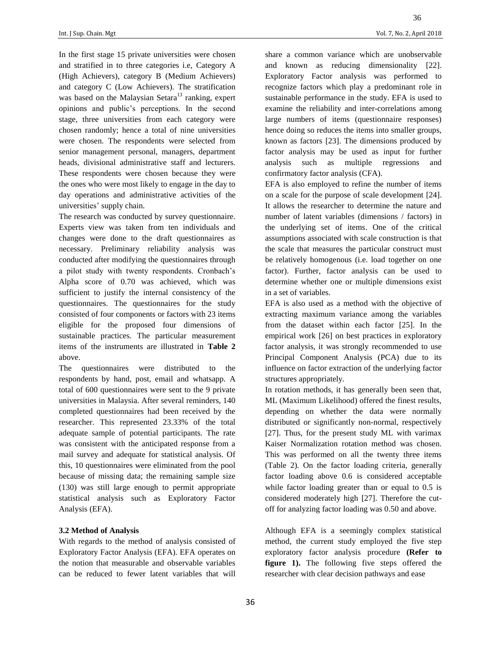In the first stage 15 private universities were chosen and stratified in to three categories i.e, Category A (High Achievers), category B (Medium Achievers) and category C (Low Achievers). The stratification was based on the Malaysian Setara<sup>13</sup> ranking, expert opinions and public's perceptions. In the second stage, three universities from each category were chosen randomly; hence a total of nine universities were chosen. The respondents were selected from senior management personal, managers, department heads, divisional administrative staff and lecturers. These respondents were chosen because they were the ones who were most likely to engage in the day to day operations and administrative activities of the universities' supply chain.

The research was conducted by survey questionnaire. Experts view was taken from ten individuals and changes were done to the draft questionnaires as necessary. Preliminary reliability analysis was conducted after modifying the questionnaires through a pilot study with twenty respondents. Cronbach's Alpha score of 0.70 was achieved, which was sufficient to justify the internal consistency of the questionnaires. The questionnaires for the study consisted of four components or factors with 23 items eligible for the proposed four dimensions of sustainable practices. The particular measurement items of the instruments are illustrated in **Table 2** above.

The questionnaires were distributed to the respondents by hand, post, email and whatsapp. A total of 600 questionnaires were sent to the 9 private universities in Malaysia. After several reminders, 140 completed questionnaires had been received by the researcher. This represented 23.33% of the total adequate sample of potential participants. The rate was consistent with the anticipated response from a mail survey and adequate for statistical analysis. Of this, 10 questionnaires were eliminated from the pool because of missing data; the remaining sample size (130) was still large enough to permit appropriate statistical analysis such as Exploratory Factor Analysis (EFA).

## **3.2 Method of Analysis**

With regards to the method of analysis consisted of Exploratory Factor Analysis (EFA). EFA operates on the notion that measurable and observable variables can be reduced to fewer latent variables that will 36

share a common variance which are unobservable and known as reducing dimensionality [22]. Exploratory Factor analysis was performed to recognize factors which play a predominant role in sustainable performance in the study. EFA is used to examine the reliability and inter-correlations among large numbers of items (questionnaire responses) hence doing so reduces the items into smaller groups, known as factors [23]. The dimensions produced by factor analysis may be used as input for further analysis such as multiple regressions and confirmatory factor analysis (CFA).

EFA is also employed to refine the number of items on a scale for the purpose of scale development [24]. It allows the researcher to determine the nature and number of latent variables (dimensions / factors) in the underlying set of items. One of the critical assumptions associated with scale construction is that the scale that measures the particular construct must be relatively homogenous (i.e. load together on one factor). Further, factor analysis can be used to determine whether one or multiple dimensions exist in a set of variables.

EFA is also used as a method with the objective of extracting maximum variance among the variables from the dataset within each factor [25]. In the empirical work [26] on best practices in exploratory factor analysis, it was strongly recommended to use Principal Component Analysis (PCA) due to its influence on factor extraction of the underlying factor structures appropriately.

In rotation methods, it has generally been seen that, ML (Maximum Likelihood) offered the finest results, depending on whether the data were normally distributed or significantly non-normal, respectively [27]. Thus, for the present study ML with varimax Kaiser Normalization rotation method was chosen. This was performed on all the twenty three items (Table 2). On the factor loading criteria, generally factor loading above 0.6 is considered acceptable while factor loading greater than or equal to 0.5 is considered moderately high [27]. Therefore the cutoff for analyzing factor loading was 0.50 and above.

Although EFA is a seemingly complex statistical method, the current study employed the five step exploratory factor analysis procedure **(Refer to figure 1).** The following five steps offered the researcher with clear decision pathways and ease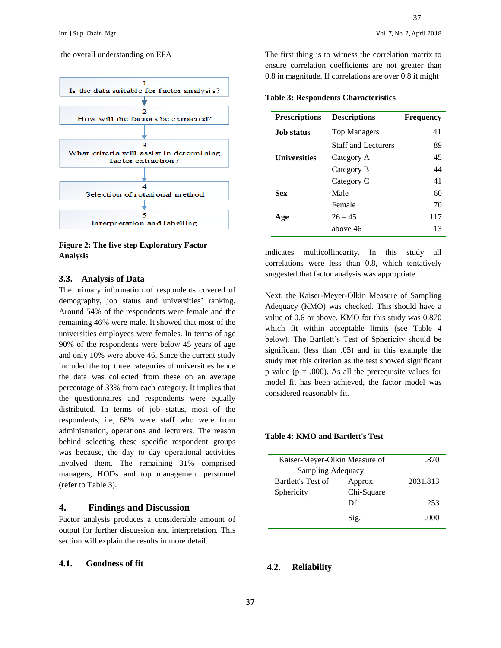#### the overall understanding on EFA



**Figure 2: The five step Exploratory Factor Analysis**

## **3.3. Analysis of Data**

The primary information of respondents covered of demography, job status and universities' ranking. Around 54% of the respondents were female and the remaining 46% were male. It showed that most of the universities employees were females. In terms of age 90% of the respondents were below 45 years of age and only 10% were above 46. Since the current study included the top three categories of universities hence the data was collected from these on an average percentage of 33% from each category. It implies that the questionnaires and respondents were equally distributed. In terms of job status, most of the respondents, i.e, 68% were staff who were from administration, operations and lecturers. The reason behind selecting these specific respondent groups was because, the day to day operational activities involved them. The remaining 31% comprised managers, HODs and top management personnel (refer to Table 3).

# **4. Findings and Discussion**

Factor analysis produces a considerable amount of output for further discussion and interpretation. This section will explain the results in more detail.

## **4.1. Goodness of fit**

The first thing is to witness the correlation matrix to ensure correlation coefficients are not greater than 0.8 in magnitude. If correlations are over 0.8 it might

## **Table 3: Respondents Characteristics**

| <b>Prescriptions</b> | <b>Descriptions</b>        | <b>Frequency</b> |
|----------------------|----------------------------|------------------|
| <b>Job status</b>    | <b>Top Managers</b>        | 41               |
|                      | <b>Staff and Lecturers</b> | 89               |
| Universities         | Category A                 | 45               |
|                      | Category B                 | 44               |
|                      | Category C                 | 41               |
| Sex                  | Male                       | 60               |
|                      | Female                     | 70               |
| Age                  | $26 - 45$                  | 117              |
|                      | above 46                   | 13               |

indicates multicollinearity. In this study all correlations were less than 0.8, which tentatively suggested that factor analysis was appropriate.

Next, the Kaiser-Meyer-Olkin Measure of Sampling Adequacy (KMO) was checked. This should have a value of 0.6 or above. KMO for this study was 0.870 which fit within acceptable limits (see Table 4 below). The Bartlett's Test of Sphericity should be significant (less than .05) and in this example the study met this criterion as the test showed significant p value ( $p = .000$ ). As all the prerequisite values for model fit has been achieved, the factor model was considered reasonably fit.

# **Table 4: KMO and Bartlett's Test**

| Kaiser-Meyer-Olkin Measure of |            | .870     |
|-------------------------------|------------|----------|
| Sampling Adequacy.            |            |          |
| <b>Bartlett's Test of</b>     | Approx.    | 2031.813 |
| Sphericity                    | Chi-Square |          |
|                               | Df         | 253      |
|                               | Sig.       | .000     |

# **4.2. Reliability**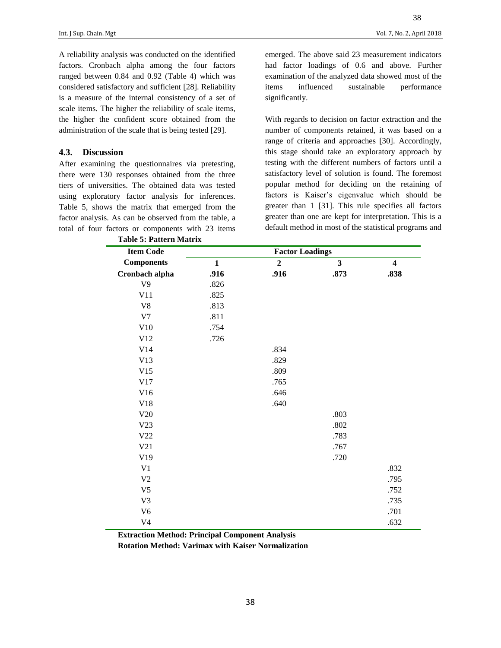38

A reliability analysis was conducted on the identified factors. Cronbach alpha among the four factors ranged between 0.84 and 0.92 (Table 4) which was considered satisfactory and sufficient [28]. Reliability is a measure of the internal consistency of a set of scale items. The higher the reliability of scale items, the higher the confident score obtained from the administration of the scale that is being tested [29].

## **4.3. Discussion**

After examining the questionnaires via pretesting, there were 130 responses obtained from the three tiers of universities. The obtained data was tested using exploratory factor analysis for inferences. Table 5, shows the matrix that emerged from the factor analysis. As can be observed from the table, a total of four factors or components with 23 items

emerged. The above said 23 measurement indicators had factor loadings of 0.6 and above. Further examination of the analyzed data showed most of the items influenced sustainable performance significantly.

With regards to decision on factor extraction and the number of components retained, it was based on a range of criteria and approaches [30]. Accordingly, this stage should take an exploratory approach by testing with the different numbers of factors until a satisfactory level of solution is found. The foremost popular method for deciding on the retaining of factors is Kaiser's eigenvalue which should be greater than 1 [31]. This rule specifies all factors greater than one are kept for interpretation. This is a default method in most of the statistical programs and

| <b>Table 5: Pattern Matrix</b> |                        |                |                |                         |
|--------------------------------|------------------------|----------------|----------------|-------------------------|
| <b>Item Code</b>               | <b>Factor Loadings</b> |                |                |                         |
| <b>Components</b>              | $\mathbf{1}$           | $\overline{2}$ | $\overline{3}$ | $\overline{\mathbf{4}}$ |
| Cronbach alpha                 | .916                   | .916           | .873           | .838                    |
| V <sub>9</sub>                 | .826                   |                |                |                         |
| V11                            | .825                   |                |                |                         |
| V8                             | .813                   |                |                |                         |
| V <sub>7</sub>                 | .811                   |                |                |                         |
| V10                            | .754                   |                |                |                         |
| V12                            | .726                   |                |                |                         |
| V14                            |                        | .834           |                |                         |
| V13                            |                        | .829           |                |                         |
| V15                            |                        | .809           |                |                         |
| V17                            |                        | .765           |                |                         |
| V16                            |                        | .646           |                |                         |
| V18                            |                        | .640           |                |                         |
| V20                            |                        |                | .803           |                         |
| V23                            |                        |                | .802           |                         |
| V22                            |                        |                | .783           |                         |
| V21                            |                        |                | .767           |                         |
| V19                            |                        |                | .720           |                         |
| V <sub>1</sub>                 |                        |                |                | .832                    |
| V <sub>2</sub>                 |                        |                |                | .795                    |
| V <sub>5</sub>                 |                        |                |                | .752                    |
| V <sub>3</sub>                 |                        |                |                | .735                    |
| V <sub>6</sub>                 |                        |                |                | .701                    |
| V <sub>4</sub>                 |                        |                |                | .632                    |

**Extraction Method: Principal Component Analysis**

**Rotation Method: Varimax with Kaiser Normalization**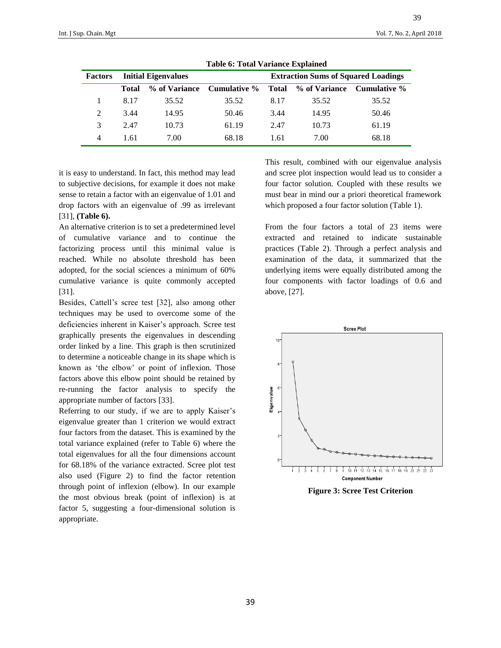| <b>Factors</b> | <b>Initial Eigenvalues</b> |               |              | <b>Extraction Sums of Squared Loadings</b> |               |              |
|----------------|----------------------------|---------------|--------------|--------------------------------------------|---------------|--------------|
|                | <b>Total</b>               | % of Variance | Cumulative % | Total                                      | % of Variance | Cumulative % |
|                | 8.17                       | 35.52         | 35.52        | 8.17                                       | 35.52         | 35.52        |
| 2              | 3.44                       | 14.95         | 50.46        | 3.44                                       | 14.95         | 50.46        |
| 3              | 2.47                       | 10.73         | 61.19        | 2.47                                       | 10.73         | 61.19        |
| 4              | 1.61                       | 7.00          | 68.18        | 1.61                                       | 7.00          | 68.18        |

**Table 6: Total Variance Explained**

it is easy to understand. In fact, this method may lead to subjective decisions, for example it does not make sense to retain a factor with an eigenvalue of 1.01 and drop factors with an eigenvalue of .99 as irrelevant [31], **(Table 6).**

An alternative criterion is to set a predetermined level of cumulative variance and to continue the factorizing process until this minimal value is reached. While no absolute threshold has been adopted, for the social sciences a minimum of 60% cumulative variance is quite commonly accepted [31].

Besides, Cattell's scree test [32], also among other techniques may be used to overcome some of the deficiencies inherent in Kaiser's approach. Scree test graphically presents the eigenvalues in descending order linked by a line. This graph is then scrutinized to determine a noticeable change in its shape which is known as 'the elbow' or point of inflexion. Those factors above this elbow point should be retained by re-running the factor analysis to specify the appropriate number of factors [33].

Referring to our study, if we are to apply Kaiser's eigenvalue greater than 1 criterion we would extract four factors from the dataset. This is examined by the total variance explained (refer to Table 6) where the total eigenvalues for all the four dimensions account for 68.18% of the variance extracted. Scree plot test also used (Figure 2) to find the factor retention through point of inflexion (elbow). In our example the most obvious break (point of inflexion) is at factor 5, suggesting a four-dimensional solution is appropriate.

This result, combined with our eigenvalue analysis and scree plot inspection would lead us to consider a four factor solution. Coupled with these results we must bear in mind our a priori theoretical framework which proposed a four factor solution (Table 1).

From the four factors a total of 23 items were extracted and retained to indicate sustainable practices (Table 2). Through a perfect analysis and examination of the data, it summarized that the underlying items were equally distributed among the four components with factor loadings of 0.6 and above, [27].



 **Figure 3: Scree Test Criterion**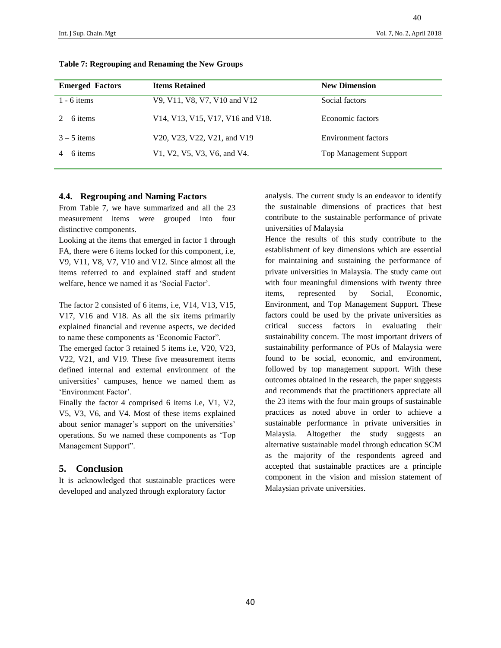| <b>Emerged Factors</b> | <b>Items Retained</b>            | <b>New Dimension</b>          |
|------------------------|----------------------------------|-------------------------------|
| $1 - 6$ items          | V9, V11, V8, V7, V10 and V12     | Social factors                |
| $2 - 6$ items          | V14, V13, V15, V17, V16 and V18. | Economic factors              |
| $3 - 5$ items          | V20, V23, V22, V21, and V19      | <b>Environment</b> factors    |
| $4 - 6$ items          | V1, V2, V5, V3, V6, and V4.      | <b>Top Management Support</b> |

## **Table 7: Regrouping and Renaming the New Groups**

#### **4.4. Regrouping and Naming Factors**

From Table 7, we have summarized and all the 23 measurement items were grouped into four distinctive components.

Looking at the items that emerged in factor 1 through FA, there were 6 items locked for this component, i.e, V9, V11, V8, V7, V10 and V12. Since almost all the items referred to and explained staff and student welfare, hence we named it as 'Social Factor'.

The factor 2 consisted of 6 items, i.e, V14, V13, V15, V17, V16 and V18. As all the six items primarily explained financial and revenue aspects, we decided to name these components as 'Economic Factor".

The emerged factor 3 retained 5 items i.e, V20, V23, V22, V21, and V19. These five measurement items defined internal and external environment of the universities' campuses, hence we named them as 'Environment Factor'.

Finally the factor 4 comprised 6 items i.e, V1, V2, V5, V3, V6, and V4. Most of these items explained about senior manager's support on the universities' operations. So we named these components as 'Top Management Support".

## **5. Conclusion**

It is acknowledged that sustainable practices were developed and analyzed through exploratory factor

analysis. The current study is an endeavor to identify the sustainable dimensions of practices that best contribute to the sustainable performance of private universities of Malaysia

Hence the results of this study contribute to the establishment of key dimensions which are essential for maintaining and sustaining the performance of private universities in Malaysia. The study came out with four meaningful dimensions with twenty three items, represented by Social, Economic, Environment, and Top Management Support. These factors could be used by the private universities as critical success factors in evaluating their sustainability concern. The most important drivers of sustainability performance of PUs of Malaysia were found to be social, economic, and environment, followed by top management support. With these outcomes obtained in the research, the paper suggests and recommends that the practitioners appreciate all the 23 items with the four main groups of sustainable practices as noted above in order to achieve a sustainable performance in private universities in Malaysia. Altogether the study suggests an alternative sustainable model through education SCM as the majority of the respondents agreed and accepted that sustainable practices are a principle component in the vision and mission statement of Malaysian private universities.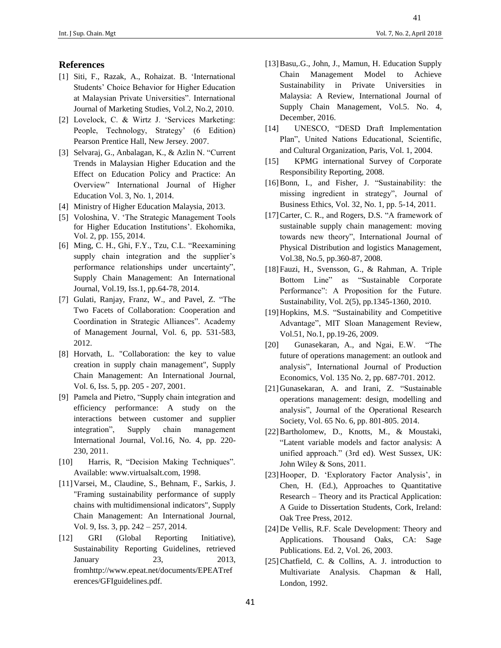## **References**

- [1] Siti, F., Razak, A., Rohaizat. B. 'International Students' Choice Behavior for Higher Education at Malaysian Private Universities". International Journal of Marketing Studies, Vol.2, No.2, 2010.
- [2] Lovelock, C. & Wirtz J. 'Services Marketing: People, Technology, Strategy' (6 Edition) Pearson Prentice Hall, New Jersey. 2007.
- [3] Selvaraj, G., Anbalagan, K., & Azlin N. "Current Trends in Malaysian Higher Education and the Effect on Education Policy and Practice: An Overview" International Journal of Higher Education Vol. 3, No. 1, 2014.
- [4] Ministry of Higher Education Malaysia, 2013.
- [5] Voloshina, V. 'The Strategic Management Tools for Higher Education Institutions'. Ekohomika, Vol. 2, pp. 155, 2014.
- [6] Ming, C. H., Ghi, F.Y., Tzu, C.L. "Reexamining supply chain integration and the supplier's performance relationships under uncertainty", Supply Chain Management: An International Journal, Vol.19, Iss.1, pp.64-78, 2014.
- [7] Gulati, Ranjay, Franz, W., and Pavel, Z. "The Two Facets of Collaboration: Cooperation and Coordination in Strategic Alliances". Academy of Management Journal, Vol. 6, pp. 531-583, 2012.
- [8] Horvath, L. "Collaboration: the key to value creation in supply chain management", Supply Chain Management: An International Journal, Vol. 6, Iss. 5, pp. 205 - 207, 2001.
- [9] Pamela and Pietro, "Supply chain integration and efficiency performance: A study on the interactions between customer and supplier integration", Supply chain management International Journal, Vol.16, No. 4, pp. 220- 230, 2011.
- [10] Harris, R, "Decision Making Techniques". Available: www.virtualsalt.com, 1998.
- [11]Varsei, M., Claudine, S., Behnam, F., Sarkis, J. "Framing sustainability performance of supply chains with multidimensional indicators", Supply Chain Management: An International Journal, Vol. 9, Iss. 3, pp. 242 – 257, 2014.
- [12] GRI (Global Reporting Initiative), Sustainability Reporting Guidelines, retrieved January 23, 2013, fromhttp://www.epeat.net/documents/EPEATref erences/GFIguidelines.pdf.
- [13]Basu,.G., John, J., Mamun, H. Education Supply Chain Management Model to Achieve Sustainability in Private Universities in Malaysia: A Review, International Journal of Supply Chain Management, Vol.5. No. 4, December, 2016.
- [14] UNESCO, "DESD Draft Implementation Plan", United Nations Educational, Scientific, and Cultural Organization, Paris, Vol. 1, 2004.
- [15] KPMG international Survey of Corporate Responsibility Reporting, 2008.
- [16]Bonn, I., and Fisher, J. "Sustainability: the missing ingredient in strategy", Journal of Business Ethics, Vol. 32, No. 1, pp. 5-14, 2011.
- [17]Carter, C. R., and Rogers, D.S. "A framework of sustainable supply chain management: moving towards new theory", International Journal of Physical Distribution and logistics Management, Vol.38, No.5, pp.360-87, 2008.
- [18]Fauzi, H., Svensson, G., & Rahman, A. Triple Bottom Line" as "Sustainable Corporate Performance": A Proposition for the Future. Sustainability, Vol. 2(5), pp.1345-1360, 2010.
- [19]Hopkins, M.S. "Sustainability and Competitive Advantage", MIT Sloan Management Review, Vol.51, No.1, pp.19-26, 2009.
- [20] Gunasekaran, A., and Ngai, E.W. "The future of operations management: an outlook and analysis", International Journal of Production Economics, Vol. 135 No. 2, pp. 687-701. 2012.
- [21]Gunasekaran, A. and Irani, Z. "Sustainable operations management: design, modelling and analysis", Journal of the Operational Research Society, Vol. 65 No. 6, pp. 801-805. 2014.
- [22]Bartholomew, D., Knotts, M., & Moustaki, "Latent variable models and factor analysis: A unified approach." (3rd ed). West Sussex, UK: John Wiley & Sons, 2011.
- [23]Hooper, D. 'Exploratory Factor Analysis', in Chen, H. (Ed.), Approaches to Quantitative Research – Theory and its Practical Application: A Guide to Dissertation Students, Cork, Ireland: Oak Tree Press, 2012.
- [24]De Vellis, R.F. Scale Development: Theory and Applications. Thousand Oaks, CA: Sage Publications. Ed. 2, Vol. 26, 2003.
- [25] Chatfield, C. & Collins, A. J. introduction to Multivariate Analysis. Chapman & Hall, London, 1992.